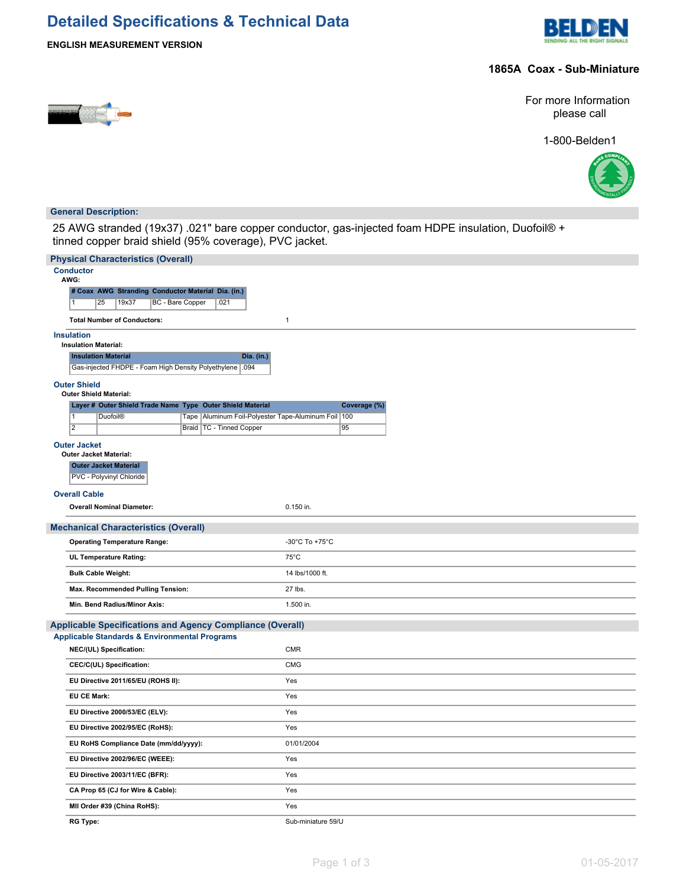# **Detailed Specifications & Technical Data**



### **ENGLISH MEASUREMENT VERSION**

#### **1865A Coax - Sub-Miniature**



For more Information please call

1-800-Belden1



#### **General Description:**

25 AWG stranded (19x37) .021" bare copper conductor, gas-injected foam HDPE insulation, Duofoil® + tinned copper braid shield (95% coverage), PVC jacket.

| <b>Physical Characteristics (Overall)</b>                        |                                                                                                       |                    |  |  |  |  |  |  |  |  |
|------------------------------------------------------------------|-------------------------------------------------------------------------------------------------------|--------------------|--|--|--|--|--|--|--|--|
| <b>Conductor</b><br>AWG:                                         |                                                                                                       |                    |  |  |  |  |  |  |  |  |
|                                                                  | # Coax AWG Stranding Conductor Material Dia. (in.)                                                    |                    |  |  |  |  |  |  |  |  |
|                                                                  | 25<br>19x37<br><b>BC</b> - Bare Copper<br>.021<br>$\overline{1}$                                      |                    |  |  |  |  |  |  |  |  |
|                                                                  | <b>Total Number of Conductors:</b><br>$\mathbf{1}$                                                    |                    |  |  |  |  |  |  |  |  |
|                                                                  | <b>Insulation</b>                                                                                     |                    |  |  |  |  |  |  |  |  |
|                                                                  | <b>Insulation Material:</b>                                                                           |                    |  |  |  |  |  |  |  |  |
|                                                                  | <b>Insulation Material</b><br>Dia. (in.)<br>Gas-injected FHDPE - Foam High Density Polyethylene 1.094 |                    |  |  |  |  |  |  |  |  |
| <b>Outer Shield</b>                                              |                                                                                                       |                    |  |  |  |  |  |  |  |  |
|                                                                  | <b>Outer Shield Material:</b><br>Layer # Outer Shield Trade Name Type Outer Shield Material           | Coverage (%)       |  |  |  |  |  |  |  |  |
|                                                                  | $\overline{1}$<br>Tape   Aluminum Foil-Polyester Tape-Aluminum Foil   100<br><b>Duofoil®</b>          |                    |  |  |  |  |  |  |  |  |
|                                                                  | $\overline{2}$<br>Braid   TC - Tinned Copper                                                          | 95                 |  |  |  |  |  |  |  |  |
|                                                                  | <b>Outer Jacket</b>                                                                                   |                    |  |  |  |  |  |  |  |  |
|                                                                  | <b>Outer Jacket Material:</b>                                                                         |                    |  |  |  |  |  |  |  |  |
|                                                                  | <b>Outer Jacket Material</b><br>PVC - Polyvinyl Chloride                                              |                    |  |  |  |  |  |  |  |  |
|                                                                  | <b>Overall Cable</b>                                                                                  |                    |  |  |  |  |  |  |  |  |
|                                                                  | <b>Overall Nominal Diameter:</b>                                                                      | 0.150 in.          |  |  |  |  |  |  |  |  |
|                                                                  | <b>Mechanical Characteristics (Overall)</b>                                                           |                    |  |  |  |  |  |  |  |  |
|                                                                  | <b>Operating Temperature Range:</b>                                                                   | -30°C To +75°C     |  |  |  |  |  |  |  |  |
|                                                                  | UL Temperature Rating:                                                                                | $75^{\circ}$ C     |  |  |  |  |  |  |  |  |
|                                                                  | <b>Bulk Cable Weight:</b>                                                                             | 14 lbs/1000 ft.    |  |  |  |  |  |  |  |  |
|                                                                  | Max. Recommended Pulling Tension:                                                                     | 27 lbs.            |  |  |  |  |  |  |  |  |
|                                                                  | Min. Bend Radius/Minor Axis:                                                                          | 1.500 in.          |  |  |  |  |  |  |  |  |
| <b>Applicable Specifications and Agency Compliance (Overall)</b> |                                                                                                       |                    |  |  |  |  |  |  |  |  |
|                                                                  | <b>Applicable Standards &amp; Environmental Programs</b>                                              |                    |  |  |  |  |  |  |  |  |
|                                                                  | NEC/(UL) Specification:                                                                               | <b>CMR</b>         |  |  |  |  |  |  |  |  |
|                                                                  | CEC/C(UL) Specification:                                                                              | <b>CMG</b>         |  |  |  |  |  |  |  |  |
|                                                                  | EU Directive 2011/65/EU (ROHS II):                                                                    | Yes                |  |  |  |  |  |  |  |  |
|                                                                  | <b>EU CE Mark:</b>                                                                                    | Yes                |  |  |  |  |  |  |  |  |
|                                                                  | EU Directive 2000/53/EC (ELV):                                                                        | Yes                |  |  |  |  |  |  |  |  |
|                                                                  | EU Directive 2002/95/EC (RoHS):                                                                       | Yes                |  |  |  |  |  |  |  |  |
|                                                                  | EU RoHS Compliance Date (mm/dd/yyyy):                                                                 | 01/01/2004         |  |  |  |  |  |  |  |  |
|                                                                  | EU Directive 2002/96/EC (WEEE):                                                                       | Yes                |  |  |  |  |  |  |  |  |
|                                                                  | EU Directive 2003/11/EC (BFR):                                                                        | Yes                |  |  |  |  |  |  |  |  |
|                                                                  | CA Prop 65 (CJ for Wire & Cable):                                                                     | Yes                |  |  |  |  |  |  |  |  |
|                                                                  | MII Order #39 (China RoHS):                                                                           | Yes                |  |  |  |  |  |  |  |  |
|                                                                  | <b>RG Type:</b>                                                                                       | Sub-miniature 59/U |  |  |  |  |  |  |  |  |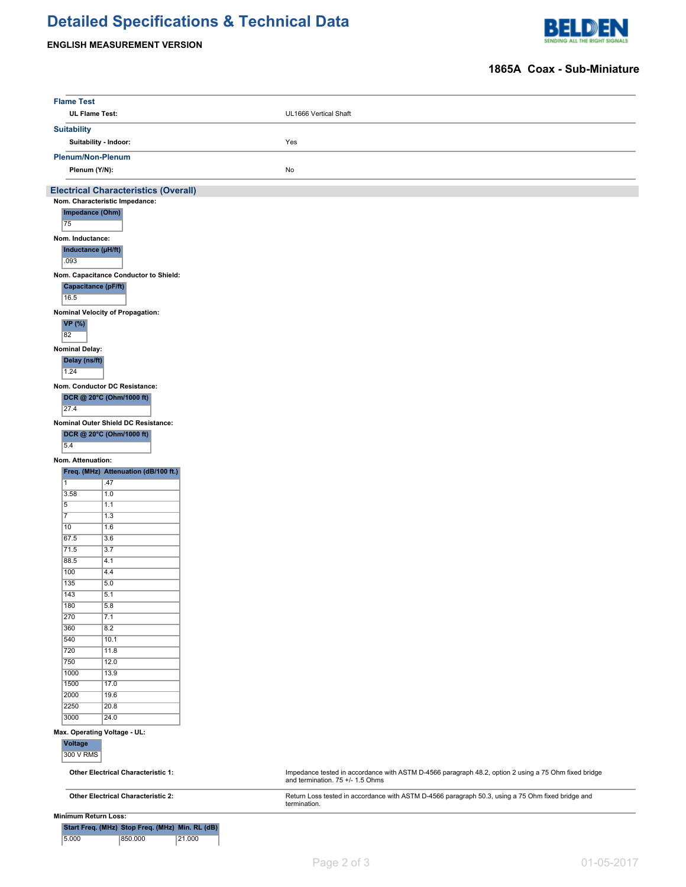# **Detailed Specifications & Technical Data**

## **ENGLISH MEASUREMENT VERSION**



### **1865A Coax - Sub-Miniature**

| <b>Flame Test</b>                         |                                                 |                                                                                                                                          |  |  |  |  |  |  |  |
|-------------------------------------------|-------------------------------------------------|------------------------------------------------------------------------------------------------------------------------------------------|--|--|--|--|--|--|--|
|                                           | <b>UL Flame Test:</b>                           | UL1666 Vertical Shaft                                                                                                                    |  |  |  |  |  |  |  |
| <b>Suitability</b>                        |                                                 |                                                                                                                                          |  |  |  |  |  |  |  |
|                                           | Suitability - Indoor:                           | Yes                                                                                                                                      |  |  |  |  |  |  |  |
|                                           |                                                 |                                                                                                                                          |  |  |  |  |  |  |  |
|                                           | Plenum/Non-Plenum                               |                                                                                                                                          |  |  |  |  |  |  |  |
|                                           | Plenum (Y/N):                                   | No                                                                                                                                       |  |  |  |  |  |  |  |
|                                           | <b>Electrical Characteristics (Overall)</b>     |                                                                                                                                          |  |  |  |  |  |  |  |
|                                           | Nom. Characteristic Impedance:                  |                                                                                                                                          |  |  |  |  |  |  |  |
| 75                                        | Impedance (Ohm)                                 |                                                                                                                                          |  |  |  |  |  |  |  |
|                                           |                                                 |                                                                                                                                          |  |  |  |  |  |  |  |
| Nom. Inductance:                          |                                                 |                                                                                                                                          |  |  |  |  |  |  |  |
|                                           | Inductance (µH/ft)                              |                                                                                                                                          |  |  |  |  |  |  |  |
|                                           | .093                                            |                                                                                                                                          |  |  |  |  |  |  |  |
|                                           | Nom. Capacitance Conductor to Shield:           |                                                                                                                                          |  |  |  |  |  |  |  |
| 16.5                                      | Capacitance (pF/ft)                             |                                                                                                                                          |  |  |  |  |  |  |  |
|                                           |                                                 |                                                                                                                                          |  |  |  |  |  |  |  |
|                                           | Nominal Velocity of Propagation:                |                                                                                                                                          |  |  |  |  |  |  |  |
| <b>VP</b> (%)<br>82                       |                                                 |                                                                                                                                          |  |  |  |  |  |  |  |
|                                           |                                                 |                                                                                                                                          |  |  |  |  |  |  |  |
| <b>Nominal Delay:</b>                     |                                                 |                                                                                                                                          |  |  |  |  |  |  |  |
| Delay (ns/ft)                             |                                                 |                                                                                                                                          |  |  |  |  |  |  |  |
| 1.24                                      |                                                 |                                                                                                                                          |  |  |  |  |  |  |  |
|                                           | Nom. Conductor DC Resistance:                   |                                                                                                                                          |  |  |  |  |  |  |  |
|                                           | DCR @ 20°C (Ohm/1000 ft)                        |                                                                                                                                          |  |  |  |  |  |  |  |
| 27.4                                      |                                                 |                                                                                                                                          |  |  |  |  |  |  |  |
|                                           | Nominal Outer Shield DC Resistance:             |                                                                                                                                          |  |  |  |  |  |  |  |
| 5.4                                       | DCR @ 20°C (Ohm/1000 ft)                        |                                                                                                                                          |  |  |  |  |  |  |  |
|                                           |                                                 |                                                                                                                                          |  |  |  |  |  |  |  |
| Nom. Attenuation:                         |                                                 |                                                                                                                                          |  |  |  |  |  |  |  |
| $\overline{1}$                            | Freq. (MHz) Attenuation (dB/100 ft.)            |                                                                                                                                          |  |  |  |  |  |  |  |
| 3.58                                      | .47<br>1.0                                      |                                                                                                                                          |  |  |  |  |  |  |  |
| $\overline{5}$                            | 1.1                                             |                                                                                                                                          |  |  |  |  |  |  |  |
| $\overline{7}$                            | 1.3                                             |                                                                                                                                          |  |  |  |  |  |  |  |
| 10                                        | 1.6                                             |                                                                                                                                          |  |  |  |  |  |  |  |
| 67.5                                      | 3.6                                             |                                                                                                                                          |  |  |  |  |  |  |  |
| 71.5                                      | 3.7                                             |                                                                                                                                          |  |  |  |  |  |  |  |
| 88.5                                      | 4.1                                             |                                                                                                                                          |  |  |  |  |  |  |  |
| 100                                       | 4.4                                             |                                                                                                                                          |  |  |  |  |  |  |  |
| 135<br>143                                | 5.0<br>5.1                                      |                                                                                                                                          |  |  |  |  |  |  |  |
| 180                                       | 5.8                                             |                                                                                                                                          |  |  |  |  |  |  |  |
| 270                                       | 7.1                                             |                                                                                                                                          |  |  |  |  |  |  |  |
| 360                                       | 8.2                                             |                                                                                                                                          |  |  |  |  |  |  |  |
| 540                                       | 10.1                                            |                                                                                                                                          |  |  |  |  |  |  |  |
| 720                                       | 11.8                                            |                                                                                                                                          |  |  |  |  |  |  |  |
| 750                                       | 12.0                                            |                                                                                                                                          |  |  |  |  |  |  |  |
| 1000                                      | 13.9                                            |                                                                                                                                          |  |  |  |  |  |  |  |
| 1500                                      | 17.0                                            |                                                                                                                                          |  |  |  |  |  |  |  |
| 2000                                      | 19.6                                            |                                                                                                                                          |  |  |  |  |  |  |  |
| 2250                                      | 20.8                                            |                                                                                                                                          |  |  |  |  |  |  |  |
| 3000                                      | 24.0                                            |                                                                                                                                          |  |  |  |  |  |  |  |
| <b>Voltage</b>                            | Max. Operating Voltage - UL:                    |                                                                                                                                          |  |  |  |  |  |  |  |
| 300 V RMS                                 |                                                 |                                                                                                                                          |  |  |  |  |  |  |  |
|                                           |                                                 |                                                                                                                                          |  |  |  |  |  |  |  |
|                                           | <b>Other Electrical Characteristic 1:</b>       | Impedance tested in accordance with ASTM D-4566 paragraph 48.2, option 2 using a 75 Ohm fixed bridge<br>and termination. 75 +/- 1.5 Ohms |  |  |  |  |  |  |  |
| <b>Other Electrical Characteristic 2:</b> |                                                 | Return Loss tested in accordance with ASTM D-4566 paragraph 50.3, using a 75 Ohm fixed bridge and                                        |  |  |  |  |  |  |  |
|                                           |                                                 | termination.                                                                                                                             |  |  |  |  |  |  |  |
|                                           | <b>Minimum Return Loss:</b>                     |                                                                                                                                          |  |  |  |  |  |  |  |
|                                           | Start Freq. (MHz) Stop Freq. (MHz) Min. RL (dB) |                                                                                                                                          |  |  |  |  |  |  |  |
| 5.000                                     | 850.000                                         | 21.000                                                                                                                                   |  |  |  |  |  |  |  |